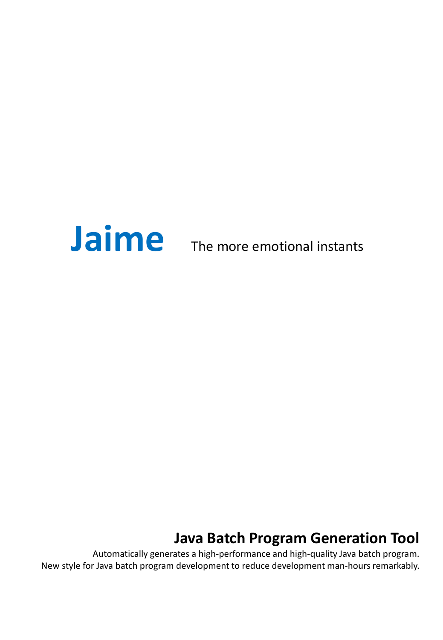

# **Java Batch Program Generation Tool**

Automatically generates a high-performance and high-quality Java batch program. New style for Java batch program development to reduce development man-hours remarkably.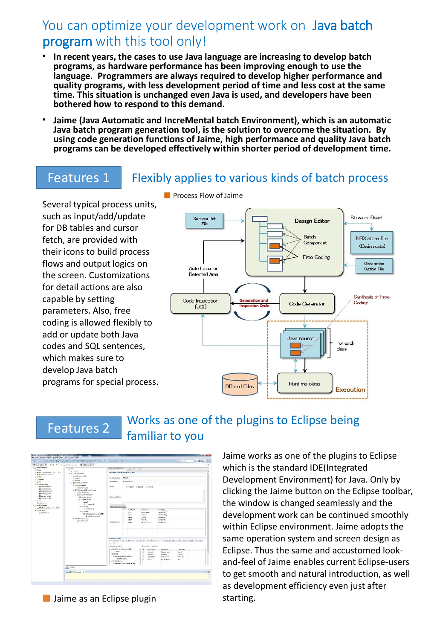# You can optimize your development work on Java batch program with this tool only!

- **In recent years, the cases to use Java language are increasing to develop batch programs, as hardware performance has been improving enough to use the language. Programmers are always required to develop higher performance and quality programs, with less development period of time and less cost at the same time. This situation is unchanged even Java is used, and developers have been bothered how to respond to this demand.**
- **Jaime (Java Automatic and IncreMental batch Environment), which is an automatic Java batch program generation tool, is the solution to overcome the situation. By using code generation functions of Jaime, high performance and quality Java batch programs can be developed effectively within shorter period of development time.**

## Features 1 Flexibly applies to various kinds of batch process

Several typical process units, such as input/add/update for DB tables and cursor fetch, are provided with their icons to build process flows and output logics on the screen. Customizations for detail actions are also capable by setting parameters. Also, free coding is allowed flexibly to add or update both Java codes and SQL sentences, which makes sure to develop Java batch programs for special process.



# Features 2 Works as one of the plugins to Eclipse being familiar to you



■ Jaime as an Eclipse plugin

Jaime works as one of the plugins to Eclipse which is the standard IDE(Integrated Development Environment) for Java. Only by clicking the Jaime button on the Eclipse toolbar, the window is changed seamlessly and the development work can be continued smoothly within Eclipse environment. Jaime adopts the same operation system and screen design as Eclipse. Thus the same and accustomed lookand-feel of Jaime enables current Eclipse-users to get smooth and natural introduction, as well as development efficiency even just after starting.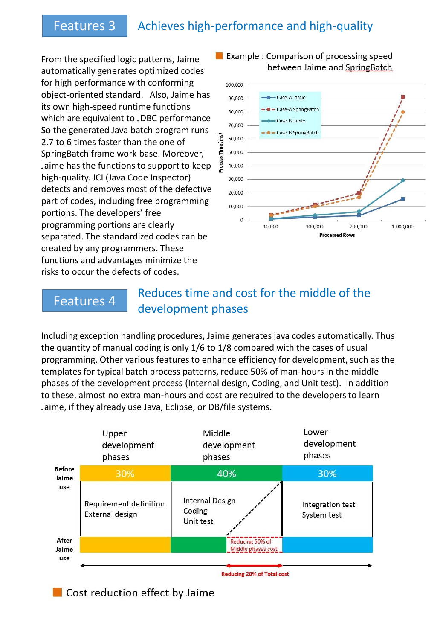# Features 3 Achieves high-performance and high-quality

From the specified logic patterns, Jaime automatically generates optimized codes for high performance with conforming object-oriented standard. Also, Jaime has its own high-speed runtime functions which are equivalent to JDBC performance So the generated Java batch program runs 2.7 to 6 times faster than the one of SpringBatch frame work base. Moreover, Jaime has the functions to support to keep high-quality. JCI (Java Code Inspector) detects and removes most of the defective part of codes, including free programming portions. The developers' free programming portions are clearly separated. The standardized codes can be created by any programmers. These functions and advantages minimize the risks to occur the defects of codes.



#### Example: Comparison of processing speed between Jaime and SpringBatch

### **Features 4** Reduces time and cost for the middle of the development phases

Including exception handling procedures, Jaime generates java codes automatically. Thus the quantity of manual coding is only 1/6 to 1/8 compared with the cases of usual programming. Other various features to enhance efficiency for development, such as the templates for typical batch process patterns, reduce 50% of man-hours in the middle phases of the development process (Internal design, Coding, and Unit test). In addition to these, almost no extra man-hours and cost are required to the developers to learn Jaime, if they already use Java, Eclipse, or DB/file systems.



Cost reduction effect by Jaime